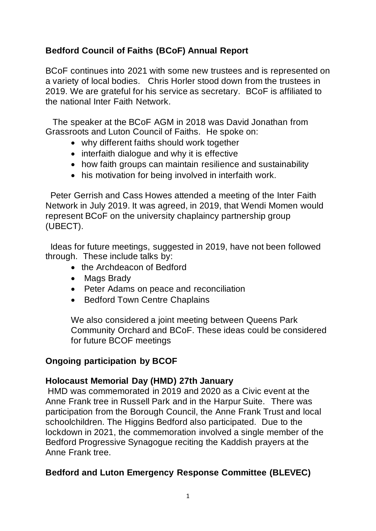# **Bedford Council of Faiths (BCoF) Annual Report**

BCoF continues into 2021 with some new trustees and is represented on a variety of local bodies. Chris Horler stood down from the trustees in 2019. We are grateful for his service as secretary. BCoF is affiliated to the national Inter Faith Network.

The speaker at the BCoF AGM in 2018 was David Jonathan from Grassroots and Luton Council of Faiths. He spoke on:

- why different faiths should work together
- interfaith dialogue and why it is effective
- how faith groups can maintain resilience and sustainability
- his motivation for being involved in interfaith work.

Peter Gerrish and Cass Howes attended a meeting of the Inter Faith Network in July 2019. It was agreed, in 2019, that Wendi Momen would represent BCoF on the university chaplaincy partnership group (UBECT).

Ideas for future meetings, suggested in 2019, have not been followed through. These include talks by:

- the Archdeacon of Bedford
- Mags Brady
- Peter Adams on peace and reconciliation
- Bedford Town Centre Chaplains

We also considered a joint meeting between Queens Park Community Orchard and BCoF. These ideas could be considered for future BCOF meetings

## **Ongoing participation by BCOF**

### **Holocaust Memorial Day (HMD) 27th January**

HMD was commemorated in 2019 and 2020 as a Civic event at the Anne Frank tree in Russell Park and in the Harpur Suite. There was participation from the Borough Council, the Anne Frank Trust and local schoolchildren. The Higgins Bedford also participated. Due to the lockdown in 2021, the commemoration involved a single member of the Bedford Progressive Synagogue reciting the Kaddish prayers at the Anne Frank tree.

## **Bedford and Luton Emergency Response Committee (BLEVEC)**